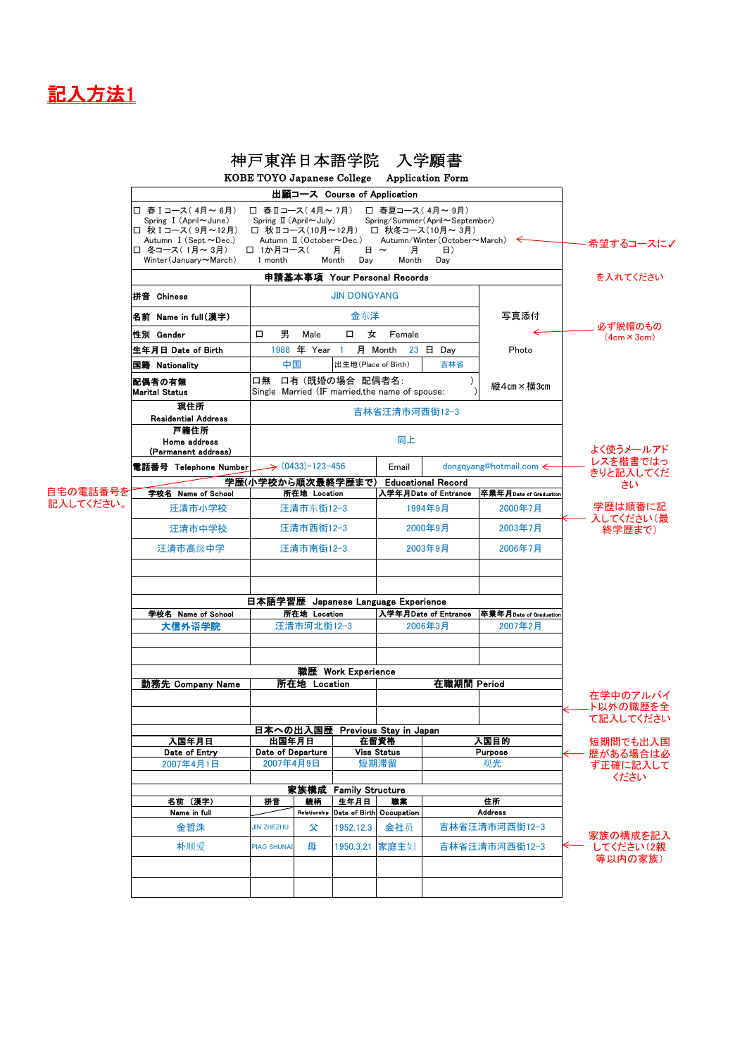## 記入方法1

|                       |                                                                                                                                                                                                                 |                                                                                                       |             |                                  | 神戸東洋日本語学院 入学願書             | KOBE TOYO Japanese College Application Form                                 |               |                                  |
|-----------------------|-----------------------------------------------------------------------------------------------------------------------------------------------------------------------------------------------------------------|-------------------------------------------------------------------------------------------------------|-------------|----------------------------------|----------------------------|-----------------------------------------------------------------------------|---------------|----------------------------------|
|                       |                                                                                                                                                                                                                 |                                                                                                       |             |                                  |                            |                                                                             |               |                                  |
|                       | □ 春 I コース(4月~6月)<br>□ 春Ⅱコース(4月~7月)<br>Spring $I$ (April $\sim$ June)<br>□ 秋 I コース(9月~12月)<br>□ 秋Ⅱコース(10月~12月) □ 秋冬コース(10月~3月)<br>Autumn I (Sept.~Dec.)<br>□ 冬コース(1月~3月)<br>□ 1か月コース(<br>Winter(January ~ March) | ・希望するコースに✔                                                                                            |             |                                  |                            |                                                                             |               |                                  |
|                       |                                                                                                                                                                                                                 | を入れてください                                                                                              |             |                                  |                            |                                                                             |               |                                  |
|                       | 拼音 Chinese                                                                                                                                                                                                      | <b>JIN DONGYANG</b>                                                                                   |             |                                  |                            |                                                                             |               |                                  |
|                       | 名前 Name in full(漢字)                                                                                                                                                                                             |                                                                                                       |             | 金东洋                              |                            |                                                                             | 写真添付          | 必ず脱帽のもの                          |
|                       | 性別 Gender                                                                                                                                                                                                       | 男<br>$\Box$                                                                                           | Male        | 女<br>口                           | Female                     |                                                                             |               | $(4cm \times 3cm)$               |
|                       | 生年月日 Date of Birth                                                                                                                                                                                              |                                                                                                       | 1988 年 Year |                                  | 月 Month<br>$23$ $\Box$ Day |                                                                             | Photo         |                                  |
|                       | 国籍 Nationality                                                                                                                                                                                                  | 中国<br>出生地(Place of Birth)<br>吉林省                                                                      |             |                                  |                            |                                                                             |               |                                  |
|                       | 配偶者の有無<br><b>Marital Status</b>                                                                                                                                                                                 | 口有 (既婚の場合 配偶者名:<br>口無<br>縦4cm×横3cm<br>Single Married (IF married, the name of spouse:                 |             |                                  |                            |                                                                             |               |                                  |
|                       | 現住所<br><b>Residential Address</b>                                                                                                                                                                               |                                                                                                       |             |                                  |                            |                                                                             |               |                                  |
|                       | 戸籍住所<br>Home address<br>(Permanent address)                                                                                                                                                                     | 同上                                                                                                    |             |                                  |                            |                                                                             |               | よく使うメールアド                        |
| 自宅の電話番号を<br>記入してください。 | 電話番号 Telephone Number                                                                                                                                                                                           | $(0433) - 123 - 456$                                                                                  |             |                                  | Email                      | dongqyang@hotmail.com <                                                     |               | レスを楷書ではっ<br>きりと記入してくだ            |
|                       | 学校名 Name of School                                                                                                                                                                                              | 学歴(小学校から順次最終学歴まで)<br>所在地 Location                                                                     |             |                                  |                            | <b>Educational Record</b><br>卒業年月Date of Graduation<br>入学年月Date of Entrance |               | さい                               |
|                       | 汪清市小学校                                                                                                                                                                                                          | 汪清市东街12-3                                                                                             |             |                                  | 1994年9月                    |                                                                             | 2000年7月       | 学歴は順番に記                          |
|                       | 汪清市中学校                                                                                                                                                                                                          | 汪清市西街12-3                                                                                             |             |                                  | 2000年9月                    |                                                                             | 2003年7月       | 入してください(最<br>終学歴まで)              |
|                       | 汪清市高级中学                                                                                                                                                                                                         |                                                                                                       | 汪清市南街12-3   |                                  | 2003年9月                    |                                                                             | 2006年7月       |                                  |
|                       |                                                                                                                                                                                                                 |                                                                                                       |             |                                  |                            |                                                                             |               |                                  |
|                       |                                                                                                                                                                                                                 |                                                                                                       |             |                                  |                            |                                                                             |               |                                  |
|                       | 学校名 Name of School                                                                                                                                                                                              | 日本語学習歴 Japanese Language Experience<br>入学年月Date of Entrance<br>卒業年月Date of Graduation<br>所在地 Location |             |                                  |                            |                                                                             |               |                                  |
|                       | 大信外语学院                                                                                                                                                                                                          | 汪清市河北街12-3                                                                                            |             |                                  | 2006年3月                    |                                                                             | 2007年2月       |                                  |
|                       |                                                                                                                                                                                                                 |                                                                                                       |             |                                  |                            |                                                                             |               |                                  |
|                       | 職歴 Work Experience<br>所在地 Location<br>勤務先 Company Name                                                                                                                                                          |                                                                                                       |             |                                  |                            | 在職期間 Period                                                                 |               |                                  |
|                       |                                                                                                                                                                                                                 |                                                                                                       |             |                                  |                            |                                                                             |               | 在学中のアルバイ<br>ト以外の職歴を全             |
|                       |                                                                                                                                                                                                                 | て記入してください                                                                                             |             |                                  |                            |                                                                             |               |                                  |
|                       | 入国年月日                                                                                                                                                                                                           | 日本への出入国歴<br>Previous Stay in Japan<br>出国年月日<br>在留資格                                                   |             |                                  |                            | 入国目的                                                                        | 短期間でも出入国      |                                  |
|                       | Date of Entry                                                                                                                                                                                                   | Date of Departure                                                                                     |             | <b>Visa Status</b>               |                            | <b>Purpose</b>                                                              |               | 歴がある場合は必                         |
|                       | 2007年4月1日                                                                                                                                                                                                       | 2007年4月9日                                                                                             |             | 短期滞留                             |                            | 观光                                                                          |               | ず正確に記入して<br>ください                 |
|                       |                                                                                                                                                                                                                 |                                                                                                       |             |                                  |                            |                                                                             |               |                                  |
|                       | 名前 (漢字)<br>Name in full                                                                                                                                                                                         | 拼音<br>続柄<br>Relationship                                                                              |             | 生年月日<br>Date of Birth Occupation | 職業                         | 住所<br><b>Address</b>                                                        |               |                                  |
|                       | 金哲洙                                                                                                                                                                                                             | 父<br><b>JIN ZHEZHU</b>                                                                                |             | 1952.12.3                        | 会社员                        | 吉林省汪清市河西街12-3                                                               |               |                                  |
|                       | 朴顺爱                                                                                                                                                                                                             | 母<br><b>PIAO SHUNAI</b>                                                                               |             | 1950.3.21                        | 家庭主妇                       |                                                                             | 吉林省汪清市河西街12-3 | 家族の構成を記入<br>してください(2親<br>等以内の家族) |
|                       |                                                                                                                                                                                                                 |                                                                                                       |             |                                  |                            |                                                                             |               |                                  |